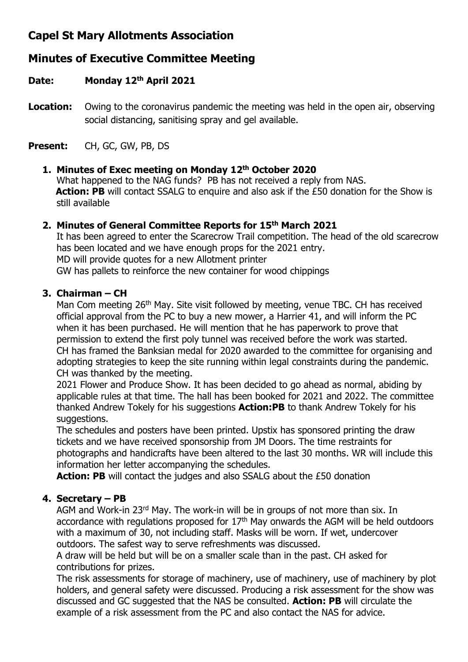## **Capel St Mary Allotments Association**

# **Minutes of Executive Committee Meeting**

## **Date: Monday 12th April 2021**

**Location:** Owing to the coronavirus pandemic the meeting was held in the open air, observing social distancing, sanitising spray and gel available.

**Present:** CH, GC, GW, PB, DS

## **1. Minutes of Exec meeting on Monday 12th October 2020**

What happened to the NAG funds? PB has not received a reply from NAS. **Action: PB** will contact SSALG to enquire and also ask if the £50 donation for the Show is still available

## **2. Minutes of General Committee Reports for 15th March 2021**

It has been agreed to enter the Scarecrow Trail competition. The head of the old scarecrow has been located and we have enough props for the 2021 entry. MD will provide quotes for a new Allotment printer GW has pallets to reinforce the new container for wood chippings

## **3. Chairman – CH**

Man Com meeting 26<sup>th</sup> May. Site visit followed by meeting, venue TBC. CH has received official approval from the PC to buy a new mower, a Harrier 41, and will inform the PC when it has been purchased. He will mention that he has paperwork to prove that permission to extend the first poly tunnel was received before the work was started. CH has framed the Banksian medal for 2020 awarded to the committee for organising and adopting strategies to keep the site running within legal constraints during the pandemic. CH was thanked by the meeting.

2021 Flower and Produce Show. It has been decided to go ahead as normal, abiding by applicable rules at that time. The hall has been booked for 2021 and 2022. The committee thanked Andrew Tokely for his suggestions **Action:PB** to thank Andrew Tokely for his suggestions.

The schedules and posters have been printed. Upstix has sponsored printing the draw tickets and we have received sponsorship from JM Doors. The time restraints for photographs and handicrafts have been altered to the last 30 months. WR will include this information her letter accompanying the schedules.

**Action: PB** will contact the judges and also SSALG about the £50 donation

## **4. Secretary – PB**

AGM and Work-in 23rd May. The work-in will be in groups of not more than six. In accordance with regulations proposed for  $17<sup>th</sup>$  May onwards the AGM will be held outdoors with a maximum of 30, not including staff. Masks will be worn. If wet, undercover outdoors. The safest way to serve refreshments was discussed.

A draw will be held but will be on a smaller scale than in the past. CH asked for contributions for prizes.

The risk assessments for storage of machinery, use of machinery, use of machinery by plot holders, and general safety were discussed. Producing a risk assessment for the show was discussed and GC suggested that the NAS be consulted. **Action: PB** will circulate the example of a risk assessment from the PC and also contact the NAS for advice.